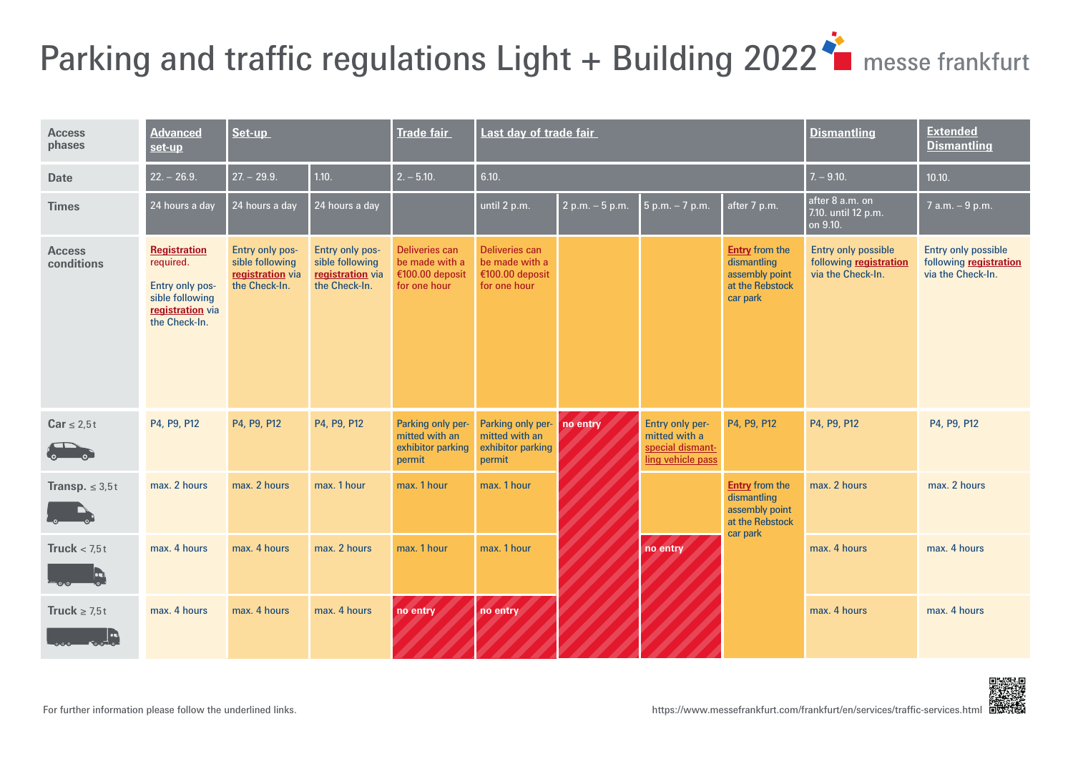# <span id="page-0-0"></span>Parking and traffic regulations Light + Building 2022<sup>\*</sup> messe frankfurt

| <b>Access</b><br>phases     | <b>Advanced</b><br>set-up                                                                                   | Set-up                                                                  |                                                                         | <b>Trade fair</b>                                                          | Last day of trade fair                                              |                   |                                                                           |                                                                                       | <b>Dismantling</b>                                                        | <b>Extended</b><br><b>Dismantling</b>                                     |
|-----------------------------|-------------------------------------------------------------------------------------------------------------|-------------------------------------------------------------------------|-------------------------------------------------------------------------|----------------------------------------------------------------------------|---------------------------------------------------------------------|-------------------|---------------------------------------------------------------------------|---------------------------------------------------------------------------------------|---------------------------------------------------------------------------|---------------------------------------------------------------------------|
| <b>Date</b>                 | $22. - 26.9.$                                                                                               | $27 - 29.9$                                                             | 1.10.                                                                   | $2. - 5.10.$                                                               | 6.10.                                                               |                   |                                                                           | $7. - 9.10.$                                                                          | 10.10.                                                                    |                                                                           |
| <b>Times</b>                | 24 hours a day                                                                                              | 24 hours a day                                                          | 24 hours a day                                                          |                                                                            | until 2 p.m.                                                        | $2 p.m. - 5 p.m.$ | 5 p.m. - 7 p.m.                                                           | after 7 p.m.                                                                          | after 8 a.m. on<br>7.10. until 12 p.m.<br>on 9.10.                        | 7 a.m. - 9 p.m.                                                           |
| <b>Access</b><br>conditions | <b>Registration</b><br>required.<br>Entry only pos-<br>sible following<br>registration via<br>the Check-In. | Entry only pos-<br>sible following<br>registration via<br>the Check-In. | Entry only pos-<br>sible following<br>registration via<br>the Check-In. | <b>Deliveries can</b><br>be made with a<br>€100.00 deposit<br>for one hour | Deliveries can<br>be made with a<br>€100.00 deposit<br>for one hour |                   |                                                                           | <b>Entry from the</b><br>dismantling<br>assembly point<br>at the Rebstock<br>car park | <b>Entry only possible</b><br>following registration<br>via the Check-In. | <b>Entry only possible</b><br>following registration<br>via the Check-In. |
| $Car \leq 2.5t$             | P4, P9, P12                                                                                                 | P4, P9, P12                                                             | P4, P9, P12                                                             | Parking only per-<br>mitted with an<br>exhibitor parking<br>permit         | Parking only per-<br>mitted with an<br>exhibitor parking<br>permit  | no entry          | Entry only per-<br>mitted with a<br>special dismant-<br>ling vehicle pass | P4, P9, P12                                                                           | P4, P9, P12                                                               | P4, P9, P12                                                               |
| <b>Transp.</b> $\leq 3.5t$  | max. 2 hours                                                                                                | max. 2 hours                                                            | max. 1 hour                                                             | max. 1 hour                                                                | max. 1 hour                                                         |                   | no entry                                                                  | <b>Entry</b> from the<br>dismantling<br>assembly point<br>at the Rebstock<br>car park | max. 2 hours                                                              | max. 2 hours                                                              |
| Truck $< 7.5t$<br>Ŀ         | max. 4 hours                                                                                                | max. 4 hours                                                            | max. 2 hours                                                            | max. 1 hour                                                                | max. 1 hour                                                         |                   |                                                                           |                                                                                       | max. 4 hours                                                              | max. 4 hours                                                              |
| Truck $\geq 7.5t$           | max. 4 hours                                                                                                | max. 4 hours                                                            | max. 4 hours                                                            | no entry                                                                   | no entry                                                            |                   |                                                                           |                                                                                       | max. 4 hours                                                              | max. 4 hours                                                              |